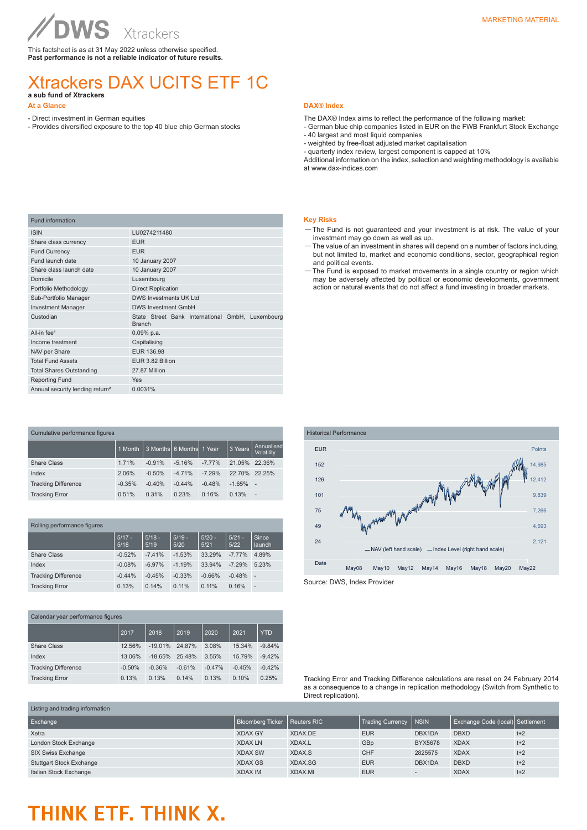# **WS**

This factsheet is as at 31 May 2022 unless otherwise specified. **Past performance is not a reliable indicator of future results.**

## MARKETING MATERIAL

# Xtrackers DAX UCITS ETF 1C **a sub fund of Xtrackers**

- 
- **At a Glance**
- Direct investment in German equities
- Provides diversified exposure to the top 40 blue chip German stocks

## **DAX® Index**

The DAX® Index aims to reflect the performance of the following market:

- German blue chip companies listed in EUR on the FWB Frankfurt Stock Exchange - 40 largest and most liquid companies
- weighted by free-float adjusted market capitalisation
- quarterly index review, largest component is capped at 10%

Additional information on the index, selection and weighting methodology is available at www.dax-indices.com

| ___ | _____ |  |
|-----|-------|--|

- —The Fund is not guaranteed and your investment is at risk. The value of your investment may go down as well as up.
- —The value of an investment in shares will depend on a number of factors including, but not limited to, market and economic conditions, sector, geographical region and political events.
- —The Fund is exposed to market movements in a single country or region which may be adversely affected by political or economic developments, government action or natural events that do not affect a fund investing in broader markets.

| <b>Fund information</b>                     |                                                                   |  |  |  |
|---------------------------------------------|-------------------------------------------------------------------|--|--|--|
| <b>ISIN</b>                                 | LU0274211480                                                      |  |  |  |
| Share class currency                        | <b>EUR</b>                                                        |  |  |  |
| <b>Fund Currency</b>                        | <b>EUR</b>                                                        |  |  |  |
| Fund launch date                            | 10 January 2007                                                   |  |  |  |
| Share class launch date                     | 10 January 2007                                                   |  |  |  |
| Domicile                                    | Luxembourg                                                        |  |  |  |
| Portfolio Methodology                       | <b>Direct Replication</b>                                         |  |  |  |
| Sub-Portfolio Manager                       | <b>DWS Investments UK Ltd</b>                                     |  |  |  |
| <b>Investment Manager</b>                   | <b>DWS Investment GmbH</b>                                        |  |  |  |
| Custodian                                   | State Street Bank International GmbH, Luxembourg<br><b>Branch</b> |  |  |  |
| All-in fee <sup>1</sup>                     | $0.09%$ p.a.                                                      |  |  |  |
| Income treatment                            | Capitalising                                                      |  |  |  |
| NAV per Share                               | EUR 136.98                                                        |  |  |  |
| <b>Total Fund Assets</b>                    | EUR 3.82 Billion                                                  |  |  |  |
| <b>Total Shares Outstanding</b>             | 27.87 Million                                                     |  |  |  |
| <b>Reporting Fund</b>                       | Yes                                                               |  |  |  |
| Annual security lending return <sup>2</sup> | 0.0031%                                                           |  |  |  |

| Cumulative performance figures |          |          |                          |          |          |                          |
|--------------------------------|----------|----------|--------------------------|----------|----------|--------------------------|
|                                | 1 Month  |          | 3 Months 6 Months 1 Year |          | 3 Years  | Annualised<br>Volatility |
| Share Class                    | 1.71%    | $-0.91%$ | $-5.16%$                 | $-7.77%$ | 21.05%   | 22.36%                   |
| Index                          | 2.06%    | $-0.50%$ | $-4.71%$                 | $-7.29%$ | 22.70%   | 22.25%                   |
| <b>Tracking Difference</b>     | $-0.35%$ | $-0.40%$ | $-0.44%$                 | $-0.48%$ | $-1.65%$ | ×.                       |
| <b>Tracking Error</b>          | 0.51%    | 0.31%    | 0.23%                    | 0.16%    | 0.13%    | $\overline{\phantom{a}}$ |

|  |  | Rolling performance figures |
|--|--|-----------------------------|
|--|--|-----------------------------|

|                            | $5/17 -$<br>5/18 | $5/18 -$<br>5/19 | $5/19 -$<br>5/20 | $5/20 -$<br>5/21 | $5/21 -$<br>5/22 | Since<br>launch |
|----------------------------|------------------|------------------|------------------|------------------|------------------|-----------------|
| <b>Share Class</b>         | $-0.52%$         | $-7.41%$         | $-1.53%$         | 33.29%           | $-7.77%$         | 4.89%           |
| Index                      | $-0.08%$         | $-6.97%$         | $-1.19%$         | 33.94%           | $-7.29%$         | 5.23%           |
| <b>Tracking Difference</b> | $-0.44%$         | $-0.45%$         | $-0.33%$         | $-0.66%$         | $-0.48%$         | ٠               |
| <b>Tracking Error</b>      | 0.13%            | 0.14%            | 0.11%            | 0.11%            | 0.16%            | ٠               |

Calendar year performance figures 2017 2018 2019 2020 2021 YTD Share Class 12.56% -19.01% 24.87% 3.08% 15.34% -9.84% Index 13.06% -18.65% 25.48% 3.55% 15.79% -9.42% Tracking Difference -0.50% -0.36% -0.61% -0.47% -0.45% -0.42% Tracking Error 0.13% 0.13% 0.14% 0.13% 0.10% 0.25%



Source: DWS, Index Provider

Tracking Error and Tracking Difference calculations are reset on 24 February 2014 as a consequence to a change in replication methodology (Switch from Synthetic to Direct replication).

| Listing and trading information |                                |         |                         |                          |                                  |       |  |
|---------------------------------|--------------------------------|---------|-------------------------|--------------------------|----------------------------------|-------|--|
| Exchange                        | Bloomberg Ticker   Reuters RIC |         | Trading Currency   NSIN |                          | Exchange Code (local) Settlement |       |  |
| Xetra                           | <b>XDAX GY</b>                 | XDAX.DE | <b>EUR</b>              | DBX1DA                   | <b>DBXD</b>                      | $t+2$ |  |
| London Stock Exchange           | <b>XDAX LN</b>                 | XDAX.L  | GBp                     | BYX5678                  | <b>XDAX</b>                      | $t+2$ |  |
| SIX Swiss Exchange              | <b>XDAX SW</b>                 | XDAX.S  | <b>CHF</b>              | 2825575                  | <b>XDAX</b>                      | $t+2$ |  |
| <b>Stuttgart Stock Exchange</b> | <b>XDAX GS</b>                 | XDAX.SG | <b>EUR</b>              | DBX1DA                   | <b>DBXD</b>                      | $t+2$ |  |
| Italian Stock Exchange          | <b>XDAX IM</b>                 | XDAX.MI | <b>EUR</b>              | $\overline{\phantom{a}}$ | <b>XDAX</b>                      | $t+2$ |  |

# THINK ETF. THINK X.